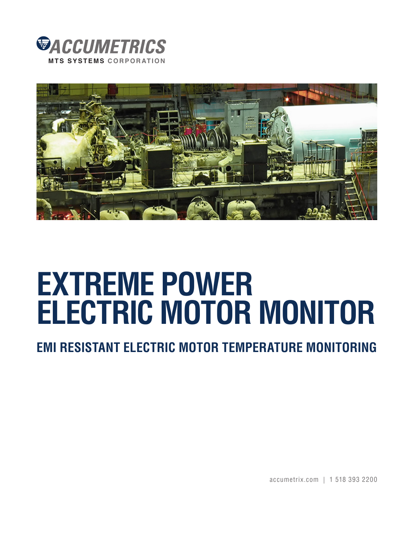



## **EXTREME POWER ELECTRIC MOTOR MONITOR**

**EMI RESISTANT ELECTRIC MOTOR TEMPERATURE MONITORING**

accumetrix.com | 1 518 393 2200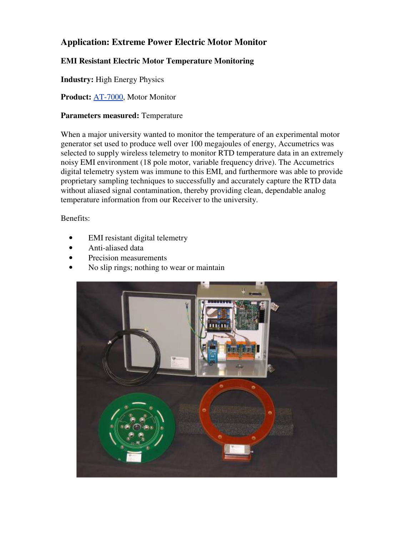## **Application: Extreme Power Electric Motor Monitor**

## **EMI Resistant Electric Motor Temperature Monitoring**

**Industry:** High Energy Physics

**Product:** [AT-7000,](http://www.accumetrix.com/Multi-ChannelTelemetry/AT7000) Motor Monitor

## **Parameters measured:** Temperature

When a major university wanted to monitor the temperature of an experimental motor generator set used to produce well over 100 megajoules of energy, Accumetrics was selected to supply wireless telemetry to monitor RTD temperature data in an extremely noisy EMI environment (18 pole motor, variable frequency drive). The Accumetrics digital telemetry system was immune to this EMI, and furthermore was able to provide proprietary sampling techniques to successfully and accurately capture the RTD data without aliased signal contamination, thereby providing clean, dependable analog temperature information from our Receiver to the university.

Benefits:

- EMI resistant digital telemetry
- Anti-aliased data
- Precision measurements
- No slip rings; nothing to wear or maintain

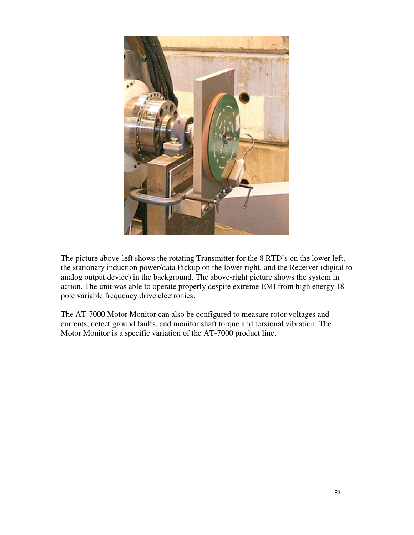

The picture above-left shows the rotating Transmitter for the 8 RTD's on the lower left, the stationary induction power/data Pickup on the lower right, and the Receiver (digital to analog output device) in the background. The above-right picture shows the system in action. The unit was able to operate properly despite extreme EMI from high energy 18 pole variable frequency drive electronics.

The AT-7000 Motor Monitor can also be configured to measure rotor voltages and currents, detect ground faults, and monitor shaft torque and torsional vibration. The Motor Monitor is a specific variation of the AT-7000 product line.